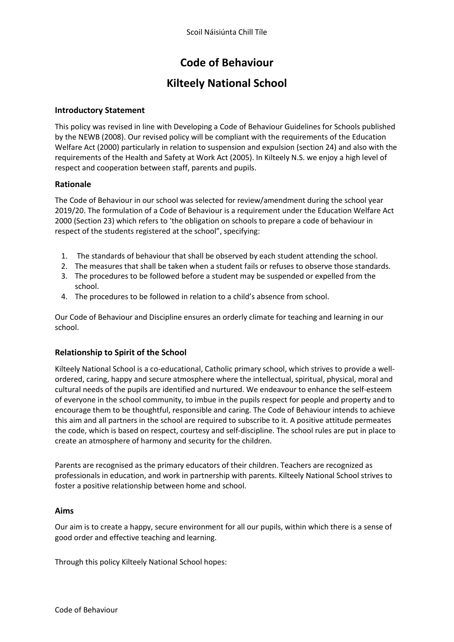# **Code of Behaviour**

# **Kilteely National School**

#### **Introductory Statement**

This policy was revised in line with Developing a Code of Behaviour Guidelines for Schools published by the NEWB (2008). Our revised policy will be compliant with the requirements of the Education Welfare Act (2000) particularly in relation to suspension and expulsion (section 24) and also with the requirements of the Health and Safety at Work Act (2005). In Kilteely N.S. we enjoy a high level of respect and cooperation between staff, parents and pupils.

#### **Rationale**

The Code of Behaviour in our school was selected for review/amendment during the school year 2019/20. The formulation of a Code of Behaviour is a requirement under the Education Welfare Act 2000 (Section 23) which refers to 'the obligation on schools to prepare a code of behaviour in respect of the students registered at the school", specifying:

- 1. The standards of behaviour that shall be observed by each student attending the school.
- 2. The measures that shall be taken when a student fails or refuses to observe those standards.
- 3. The procedures to be followed before a student may be suspended or expelled from the school.
- 4. The procedures to be followed in relation to a child's absence from school.

Our Code of Behaviour and Discipline ensures an orderly climate for teaching and learning in our school.

## **Relationship to Spirit of the School**

Kilteely National School is a co-educational, Catholic primary school, which strives to provide a wellordered, caring, happy and secure atmosphere where the intellectual, spiritual, physical, moral and cultural needs of the pupils are identified and nurtured. We endeavour to enhance the self-esteem of everyone in the school community, to imbue in the pupils respect for people and property and to encourage them to be thoughtful, responsible and caring. The Code of Behaviour intends to achieve this aim and all partners in the school are required to subscribe to it. A positive attitude permeates the code, which is based on respect, courtesy and self-discipline. The school rules are put in place to create an atmosphere of harmony and security for the children.

Parents are recognised as the primary educators of their children. Teachers are recognized as professionals in education, and work in partnership with parents. Kilteely National School strives to foster a positive relationship between home and school.

#### **Aims**

Our aim is to create a happy, secure environment for all our pupils, within which there is a sense of good order and effective teaching and learning.

Through this policy Kilteely National School hopes: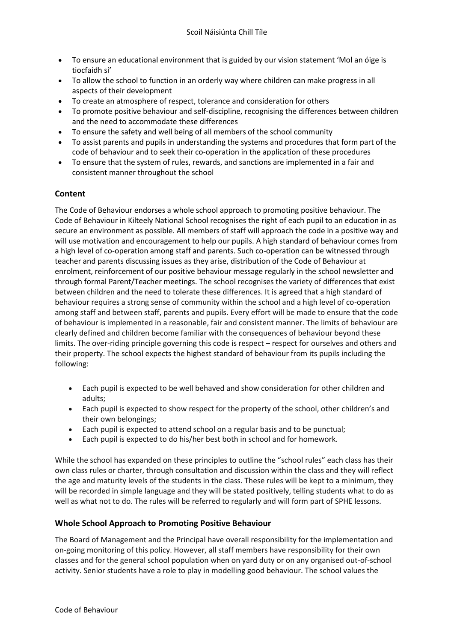- To ensure an educational environment that is guided by our vision statement 'Mol an óige is tiocfaidh sí'
- To allow the school to function in an orderly way where children can make progress in all aspects of their development
- To create an atmosphere of respect, tolerance and consideration for others
- To promote positive behaviour and self-discipline, recognising the differences between children and the need to accommodate these differences
- To ensure the safety and well being of all members of the school community
- To assist parents and pupils in understanding the systems and procedures that form part of the code of behaviour and to seek their co-operation in the application of these procedures
- To ensure that the system of rules, rewards, and sanctions are implemented in a fair and consistent manner throughout the school

## **Content**

The Code of Behaviour endorses a whole school approach to promoting positive behaviour. The Code of Behaviour in Kilteely National School recognises the right of each pupil to an education in as secure an environment as possible. All members of staff will approach the code in a positive way and will use motivation and encouragement to help our pupils. A high standard of behaviour comes from a high level of co-operation among staff and parents. Such co-operation can be witnessed through teacher and parents discussing issues as they arise, distribution of the Code of Behaviour at enrolment, reinforcement of our positive behaviour message regularly in the school newsletter and through formal Parent/Teacher meetings. The school recognises the variety of differences that exist between children and the need to tolerate these differences. It is agreed that a high standard of behaviour requires a strong sense of community within the school and a high level of co-operation among staff and between staff, parents and pupils. Every effort will be made to ensure that the code of behaviour is implemented in a reasonable, fair and consistent manner. The limits of behaviour are clearly defined and children become familiar with the consequences of behaviour beyond these limits. The over-riding principle governing this code is respect – respect for ourselves and others and their property. The school expects the highest standard of behaviour from its pupils including the following:

- Each pupil is expected to be well behaved and show consideration for other children and adults;
- Each pupil is expected to show respect for the property of the school, other children's and their own belongings;
- Each pupil is expected to attend school on a regular basis and to be punctual;
- Each pupil is expected to do his/her best both in school and for homework.

While the school has expanded on these principles to outline the "school rules" each class has their own class rules or charter, through consultation and discussion within the class and they will reflect the age and maturity levels of the students in the class. These rules will be kept to a minimum, they will be recorded in simple language and they will be stated positively, telling students what to do as well as what not to do. The rules will be referred to regularly and will form part of SPHE lessons.

## **Whole School Approach to Promoting Positive Behaviour**

The Board of Management and the Principal have overall responsibility for the implementation and on-going monitoring of this policy. However, all staff members have responsibility for their own classes and for the general school population when on yard duty or on any organised out-of-school activity. Senior students have a role to play in modelling good behaviour. The school values the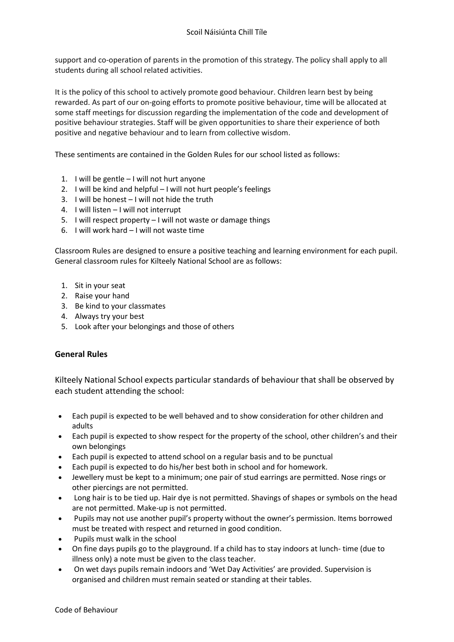support and co-operation of parents in the promotion of this strategy. The policy shall apply to all students during all school related activities.

It is the policy of this school to actively promote good behaviour. Children learn best by being rewarded. As part of our on-going efforts to promote positive behaviour, time will be allocated at some staff meetings for discussion regarding the implementation of the code and development of positive behaviour strategies. Staff will be given opportunities to share their experience of both positive and negative behaviour and to learn from collective wisdom.

These sentiments are contained in the Golden Rules for our school listed as follows:

- 1. I will be gentle I will not hurt anyone
- 2. I will be kind and helpful I will not hurt people's feelings
- 3. I will be honest I will not hide the truth
- 4. I will listen I will not interrupt
- 5. I will respect property I will not waste or damage things
- 6. I will work hard I will not waste time

Classroom Rules are designed to ensure a positive teaching and learning environment for each pupil. General classroom rules for Kilteely National School are as follows:

- 1. Sit in your seat
- 2. Raise your hand
- 3. Be kind to your classmates
- 4. Always try your best
- 5. Look after your belongings and those of others

## **General Rules**

Kilteely National School expects particular standards of behaviour that shall be observed by each student attending the school:

- Each pupil is expected to be well behaved and to show consideration for other children and adults
- Each pupil is expected to show respect for the property of the school, other children's and their own belongings
- Each pupil is expected to attend school on a regular basis and to be punctual
- Each pupil is expected to do his/her best both in school and for homework.
- Jewellery must be kept to a minimum; one pair of stud earrings are permitted. Nose rings or other piercings are not permitted.
- Long hair is to be tied up. Hair dye is not permitted. Shavings of shapes or symbols on the head are not permitted. Make-up is not permitted.
- Pupils may not use another pupil's property without the owner's permission. Items borrowed must be treated with respect and returned in good condition.
- Pupils must walk in the school
- On fine days pupils go to the playground. If a child has to stay indoors at lunch- time (due to illness only) a note must be given to the class teacher.
- On wet days pupils remain indoors and 'Wet Day Activities' are provided. Supervision is organised and children must remain seated or standing at their tables.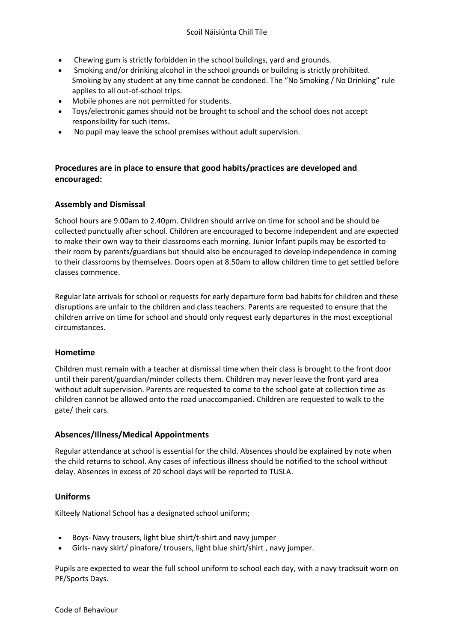- Chewing gum is strictly forbidden in the school buildings, yard and grounds.
- Smoking and/or drinking alcohol in the school grounds or building is strictly prohibited. Smoking by any student at any time cannot be condoned. The "No Smoking / No Drinking" rule applies to all out-of-school trips.
- Mobile phones are not permitted for students.
- Toys/electronic games should not be brought to school and the school does not accept responsibility for such items.
- No pupil may leave the school premises without adult supervision.

# **Procedures are in place to ensure that good habits/practices are developed and encouraged:**

## **Assembly and Dismissal**

School hours are 9.00am to 2.40pm. Children should arrive on time for school and be should be collected punctually after school. Children are encouraged to become independent and are expected to make their own way to their classrooms each morning. Junior Infant pupils may be escorted to their room by parents/guardians but should also be encouraged to develop independence in coming to their classrooms by themselves. Doors open at 8.50am to allow children time to get settled before classes commence.

Regular late arrivals for school or requests for early departure form bad habits for children and these disruptions are unfair to the children and class teachers. Parents are requested to ensure that the children arrive on time for school and should only request early departures in the most exceptional circumstances.

## **Hometime**

Children must remain with a teacher at dismissal time when their class is brought to the front door until their parent/guardian/minder collects them. Children may never leave the front yard area without adult supervision. Parents are requested to come to the school gate at collection time as children cannot be allowed onto the road unaccompanied. Children are requested to walk to the gate/ their cars.

## **Absences/Illness/Medical Appointments**

Regular attendance at school is essential for the child. Absences should be explained by note when the child returns to school. Any cases of infectious illness should be notified to the school without delay. Absences in excess of 20 school days will be reported to TUSLA.

## **Uniforms**

Kilteely National School has a designated school uniform;

- Boys- Navy trousers, light blue shirt/t-shirt and navy jumper
- Girls- navy skirt/ pinafore/ trousers, light blue shirt/shirt , navy jumper.

Pupils are expected to wear the full school uniform to school each day, with a navy tracksuit worn on PE/Sports Days.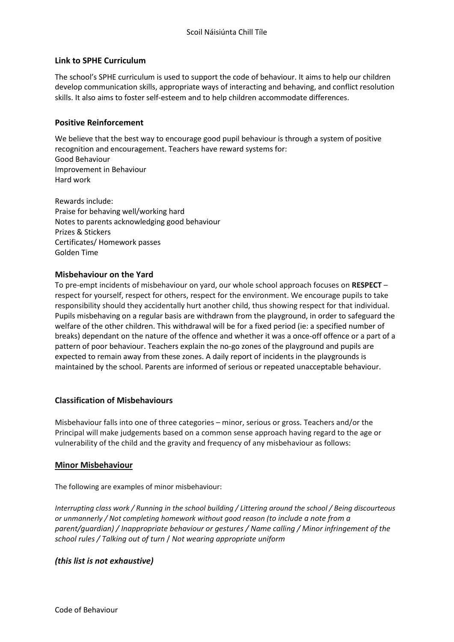## **Link to SPHE Curriculum**

The school's SPHE curriculum is used to support the code of behaviour. It aims to help our children develop communication skills, appropriate ways of interacting and behaving, and conflict resolution skills. It also aims to foster self-esteem and to help children accommodate differences.

### **Positive Reinforcement**

We believe that the best way to encourage good pupil behaviour is through a system of positive recognition and encouragement. Teachers have reward systems for: Good Behaviour Improvement in Behaviour Hard work

Rewards include: Praise for behaving well/working hard Notes to parents acknowledging good behaviour Prizes & Stickers Certificates/ Homework passes Golden Time

#### **Misbehaviour on the Yard**

To pre-empt incidents of misbehaviour on yard, our whole school approach focuses on **RESPECT** – respect for yourself, respect for others, respect for the environment. We encourage pupils to take responsibility should they accidentally hurt another child, thus showing respect for that individual. Pupils misbehaving on a regular basis are withdrawn from the playground, in order to safeguard the welfare of the other children. This withdrawal will be for a fixed period (ie: a specified number of breaks) dependant on the nature of the offence and whether it was a once-off offence or a part of a pattern of poor behaviour. Teachers explain the no-go zones of the playground and pupils are expected to remain away from these zones. A daily report of incidents in the playgrounds is maintained by the school. Parents are informed of serious or repeated unacceptable behaviour.

## **Classification of Misbehaviours**

Misbehaviour falls into one of three categories – minor, serious or gross. Teachers and/or the Principal will make judgements based on a common sense approach having regard to the age or vulnerability of the child and the gravity and frequency of any misbehaviour as follows:

#### **Minor Misbehaviour**

The following are examples of minor misbehaviour:

*Interrupting class work / Running in the school building / Littering around the school / Being discourteous or unmannerly / Not completing homework without good reason (to include a note from a parent/guardian) / Inappropriate behaviour or gestures / Name calling / Minor infringement of the school rules / Talking out of turn* / *Not wearing appropriate uniform*

## *(this list is not exhaustive)*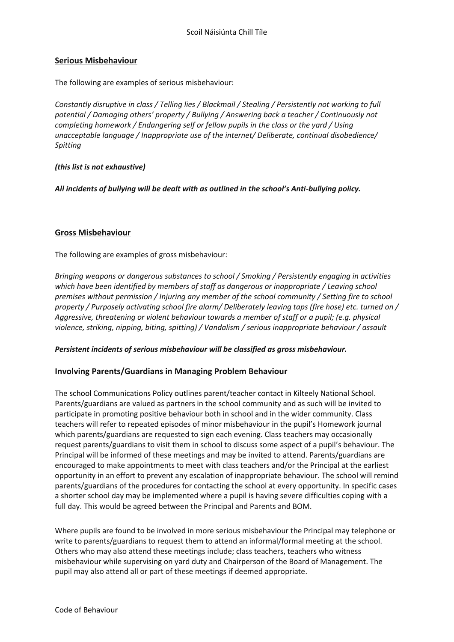### **Serious Misbehaviour**

The following are examples of serious misbehaviour:

*Constantly disruptive in class / Telling lies / Blackmail / Stealing / Persistently not working to full potential / Damaging others' property / Bullying / Answering back a teacher / Continuously not completing homework / Endangering self or fellow pupils in the class or the yard / Using unacceptable language / Inappropriate use of the internet/ Deliberate, continual disobedience/ Spitting*

#### *(this list is not exhaustive)*

*All incidents of bullying will be dealt with as outlined in the school's Anti-bullying policy.* 

#### **Gross Misbehaviour**

The following are examples of gross misbehaviour:

*Bringing weapons or dangerous substances to school / Smoking / Persistently engaging in activities which have been identified by members of staff as dangerous or inappropriate / Leaving school premises without permission / Injuring any member of the school community / Setting fire to school property / Purposely activating school fire alarm/ Deliberately leaving taps (fire hose) etc. turned on / Aggressive, threatening or violent behaviour towards a member of staff or a pupil; (e.g. physical violence, striking, nipping, biting, spitting) / Vandalism / serious inappropriate behaviour / assault*

#### *Persistent incidents of serious misbehaviour will be classified as gross misbehaviour.*

## **Involving Parents/Guardians in Managing Problem Behaviour**

The school Communications Policy outlines parent/teacher contact in Kilteely National School. Parents/guardians are valued as partners in the school community and as such will be invited to participate in promoting positive behaviour both in school and in the wider community. Class teachers will refer to repeated episodes of minor misbehaviour in the pupil's Homework journal which parents/guardians are requested to sign each evening. Class teachers may occasionally request parents/guardians to visit them in school to discuss some aspect of a pupil's behaviour. The Principal will be informed of these meetings and may be invited to attend. Parents/guardians are encouraged to make appointments to meet with class teachers and/or the Principal at the earliest opportunity in an effort to prevent any escalation of inappropriate behaviour. The school will remind parents/guardians of the procedures for contacting the school at every opportunity. In specific cases a shorter school day may be implemented where a pupil is having severe difficulties coping with a full day. This would be agreed between the Principal and Parents and BOM.

Where pupils are found to be involved in more serious misbehaviour the Principal may telephone or write to parents/guardians to request them to attend an informal/formal meeting at the school. Others who may also attend these meetings include; class teachers, teachers who witness misbehaviour while supervising on yard duty and Chairperson of the Board of Management. The pupil may also attend all or part of these meetings if deemed appropriate.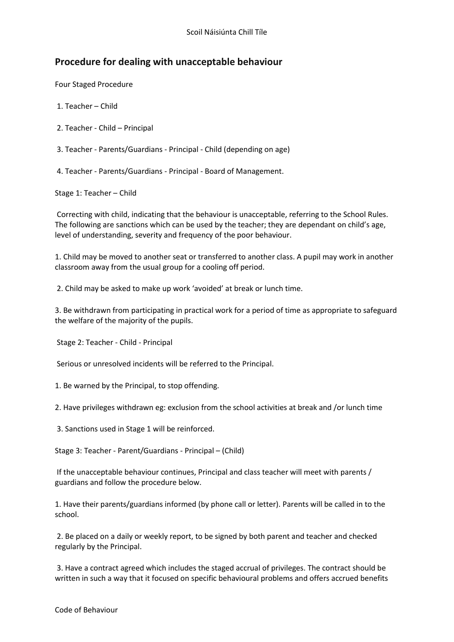# **Procedure for dealing with unacceptable behaviour**

Four Staged Procedure

- 1. Teacher Child
- 2. Teacher Child Principal
- 3. Teacher Parents/Guardians Principal Child (depending on age)
- 4. Teacher Parents/Guardians Principal Board of Management.

Stage 1: Teacher – Child

Correcting with child, indicating that the behaviour is unacceptable, referring to the School Rules. The following are sanctions which can be used by the teacher; they are dependant on child's age, level of understanding, severity and frequency of the poor behaviour.

1. Child may be moved to another seat or transferred to another class. A pupil may work in another classroom away from the usual group for a cooling off period.

2. Child may be asked to make up work 'avoided' at break or lunch time.

3. Be withdrawn from participating in practical work for a period of time as appropriate to safeguard the welfare of the majority of the pupils.

Stage 2: Teacher - Child - Principal

Serious or unresolved incidents will be referred to the Principal.

1. Be warned by the Principal, to stop offending.

2. Have privileges withdrawn eg: exclusion from the school activities at break and /or lunch time

3. Sanctions used in Stage 1 will be reinforced.

Stage 3: Teacher - Parent/Guardians - Principal – (Child)

If the unacceptable behaviour continues, Principal and class teacher will meet with parents / guardians and follow the procedure below.

1. Have their parents/guardians informed (by phone call or letter). Parents will be called in to the school.

2. Be placed on a daily or weekly report, to be signed by both parent and teacher and checked regularly by the Principal.

3. Have a contract agreed which includes the staged accrual of privileges. The contract should be written in such a way that it focused on specific behavioural problems and offers accrued benefits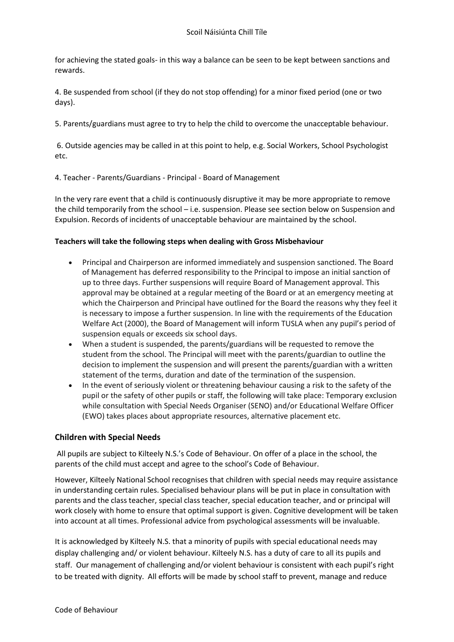for achieving the stated goals- in this way a balance can be seen to be kept between sanctions and rewards.

4. Be suspended from school (if they do not stop offending) for a minor fixed period (one or two days).

5. Parents/guardians must agree to try to help the child to overcome the unacceptable behaviour.

6. Outside agencies may be called in at this point to help, e.g. Social Workers, School Psychologist etc.

4. Teacher - Parents/Guardians - Principal - Board of Management

In the very rare event that a child is continuously disruptive it may be more appropriate to remove the child temporarily from the school – i.e. suspension. Please see section below on Suspension and Expulsion. Records of incidents of unacceptable behaviour are maintained by the school.

#### **Teachers will take the following steps when dealing with Gross Misbehaviour**

- Principal and Chairperson are informed immediately and suspension sanctioned. The Board of Management has deferred responsibility to the Principal to impose an initial sanction of up to three days. Further suspensions will require Board of Management approval. This approval may be obtained at a regular meeting of the Board or at an emergency meeting at which the Chairperson and Principal have outlined for the Board the reasons why they feel it is necessary to impose a further suspension. In line with the requirements of the Education Welfare Act (2000), the Board of Management will inform TUSLA when any pupil's period of suspension equals or exceeds six school days.
- When a student is suspended, the parents/guardians will be requested to remove the student from the school. The Principal will meet with the parents/guardian to outline the decision to implement the suspension and will present the parents/guardian with a written statement of the terms, duration and date of the termination of the suspension.
- In the event of seriously violent or threatening behaviour causing a risk to the safety of the pupil or the safety of other pupils or staff, the following will take place: Temporary exclusion while consultation with Special Needs Organiser (SENO) and/or Educational Welfare Officer (EWO) takes places about appropriate resources, alternative placement etc.

## **Children with Special Needs**

All pupils are subject to Kilteely N.S.'s Code of Behaviour. On offer of a place in the school, the parents of the child must accept and agree to the school's Code of Behaviour.

However, Kilteely National School recognises that children with special needs may require assistance in understanding certain rules. Specialised behaviour plans will be put in place in consultation with parents and the class teacher, special class teacher, special education teacher, and or principal will work closely with home to ensure that optimal support is given. Cognitive development will be taken into account at all times. Professional advice from psychological assessments will be invaluable.

It is acknowledged by Kilteely N.S. that a minority of pupils with special educational needs may display challenging and/ or violent behaviour. Kilteely N.S. has a duty of care to all its pupils and staff. Our management of challenging and/or violent behaviour is consistent with each pupil's right to be treated with dignity. All efforts will be made by school staff to prevent, manage and reduce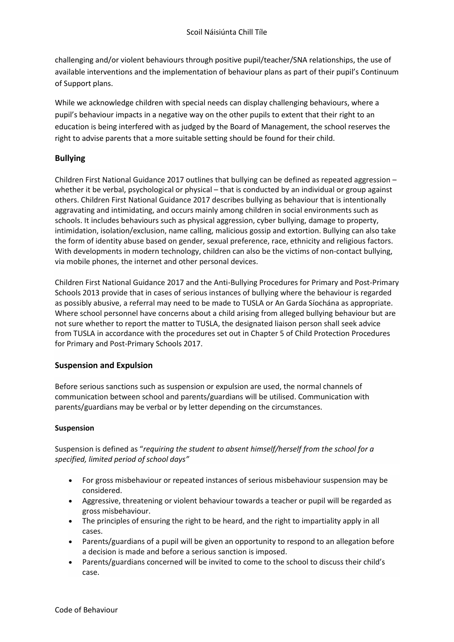challenging and/or violent behaviours through positive pupil/teacher/SNA relationships, the use of available interventions and the implementation of behaviour plans as part of their pupil's Continuum of Support plans.

While we acknowledge children with special needs can display challenging behaviours, where a pupil's behaviour impacts in a negative way on the other pupils to extent that their right to an education is being interfered with as judged by the Board of Management, the school reserves the right to advise parents that a more suitable setting should be found for their child.

## **Bullying**

Children First National Guidance 2017 outlines that bullying can be defined as repeated aggression – whether it be verbal, psychological or physical – that is conducted by an individual or group against others. Children First National Guidance 2017 describes bullying as behaviour that is intentionally aggravating and intimidating, and occurs mainly among children in social environments such as schools. It includes behaviours such as physical aggression, cyber bullying, damage to property, intimidation, isolation/exclusion, name calling, malicious gossip and extortion. Bullying can also take the form of identity abuse based on gender, sexual preference, race, ethnicity and religious factors. With developments in modern technology, children can also be the victims of non-contact bullying, via mobile phones, the internet and other personal devices.

Children First National Guidance 2017 and the Anti-Bullying Procedures for Primary and Post-Primary Schools 2013 provide that in cases of serious instances of bullying where the behaviour is regarded as possibly abusive, a referral may need to be made to TUSLA or An Garda Síochána as appropriate. Where school personnel have concerns about a child arising from alleged bullying behaviour but are not sure whether to report the matter to TUSLA, the designated liaison person shall seek advice from TUSLA in accordance with the procedures set out in Chapter 5 of Child Protection Procedures for Primary and Post-Primary Schools 2017.

## **Suspension and Expulsion**

Before serious sanctions such as suspension or expulsion are used, the normal channels of communication between school and parents/guardians will be utilised. Communication with parents/guardians may be verbal or by letter depending on the circumstances.

## **Suspension**

Suspension is defined as "*requiring the student to absent himself/herself from the school for a specified, limited period of school days"*

- For gross misbehaviour or repeated instances of serious misbehaviour suspension may be considered.
- Aggressive, threatening or violent behaviour towards a teacher or pupil will be regarded as gross misbehaviour.
- The principles of ensuring the right to be heard, and the right to impartiality apply in all cases.
- Parents/guardians of a pupil will be given an opportunity to respond to an allegation before a decision is made and before a serious sanction is imposed.
- Parents/guardians concerned will be invited to come to the school to discuss their child's case.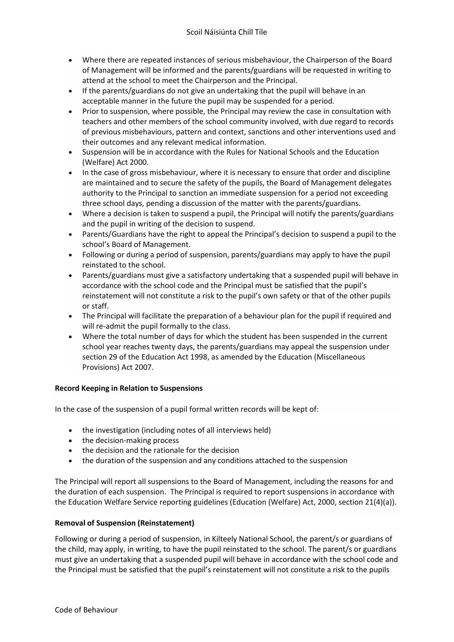- Where there are repeated instances of serious misbehaviour, the Chairperson of the Board of Management will be informed and the parents/guardians will be requested in writing to attend at the school to meet the Chairperson and the Principal.
- If the parents/guardians do not give an undertaking that the pupil will behave in an acceptable manner in the future the pupil may be suspended for a period.
- Prior to suspension, where possible, the Principal may review the case in consultation with teachers and other members of the school community involved, with due regard to records of previous misbehaviours, pattern and context, sanctions and other interventions used and their outcomes and any relevant medical information.
- Suspension will be in accordance with the Rules for National Schools and the Education (Welfare) Act 2000.
- In the case of gross misbehaviour, where it is necessary to ensure that order and discipline are maintained and to secure the safety of the pupils, the Board of Management delegates authority to the Principal to sanction an immediate suspension for a period not exceeding three school days, pending a discussion of the matter with the parents/guardians.
- Where a decision is taken to suspend a pupil, the Principal will notify the parents/guardians and the pupil in writing of the decision to suspend.
- Parents/Guardians have the right to appeal the Principal's decision to suspend a pupil to the school's Board of Management.
- Following or during a period of suspension, parents/guardians may apply to have the pupil reinstated to the school.
- Parents/guardians must give a satisfactory undertaking that a suspended pupil will behave in accordance with the school code and the Principal must be satisfied that the pupil's reinstatement will not constitute a risk to the pupil's own safety or that of the other pupils or staff.
- The Principal will facilitate the preparation of a behaviour plan for the pupil if required and will re-admit the pupil formally to the class.
- Where the total number of days for which the student has been suspended in the current school year reaches twenty days, the parents/guardians may appeal the suspension under section 29 of the Education Act 1998, as amended by the Education (Miscellaneous Provisions) Act 2007.

## **Record Keeping in Relation to Suspensions**

In the case of the suspension of a pupil formal written records will be kept of:

- the investigation (including notes of all interviews held)
- the decision-making process
- the decision and the rationale for the decision
- the duration of the suspension and any conditions attached to the suspension

The Principal will report all suspensions to the Board of Management, including the reasons for and the duration of each suspension. The Principal is required to report suspensions in accordance with the Education Welfare Service reporting guidelines (Education (Welfare) Act, 2000, section 21(4)(a)).

#### **Removal of Suspension (Reinstatement)**

Following or during a period of suspension, in Kilteely National School, the parent/s or guardians of the child, may apply, in writing, to have the pupil reinstated to the school. The parent/s or guardians must give an undertaking that a suspended pupil will behave in accordance with the school code and the Principal must be satisfied that the pupil's reinstatement will not constitute a risk to the pupils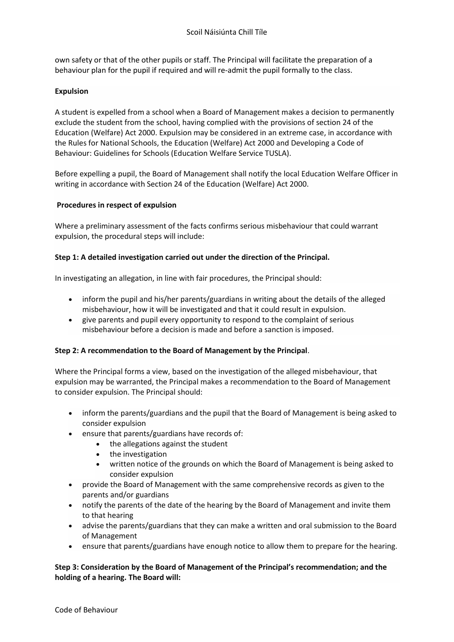own safety or that of the other pupils or staff. The Principal will facilitate the preparation of a behaviour plan for the pupil if required and will re-admit the pupil formally to the class.

### **Expulsion**

A student is expelled from a school when a Board of Management makes a decision to permanently exclude the student from the school, having complied with the provisions of section 24 of the Education (Welfare) Act 2000. Expulsion may be considered in an extreme case, in accordance with the Rules for National Schools, the Education (Welfare) Act 2000 and Developing a Code of Behaviour: Guidelines for Schools (Education Welfare Service TUSLA).

Before expelling a pupil, the Board of Management shall notify the local Education Welfare Officer in writing in accordance with Section 24 of the Education (Welfare) Act 2000.

#### **Procedures in respect of expulsion**

Where a preliminary assessment of the facts confirms serious misbehaviour that could warrant expulsion, the procedural steps will include:

#### **Step 1: A detailed investigation carried out under the direction of the Principal.**

In investigating an allegation, in line with fair procedures, the Principal should:

- inform the pupil and his/her parents/guardians in writing about the details of the alleged misbehaviour, how it will be investigated and that it could result in expulsion.
- give parents and pupil every opportunity to respond to the complaint of serious misbehaviour before a decision is made and before a sanction is imposed.

#### **Step 2: A recommendation to the Board of Management by the Principal**.

Where the Principal forms a view, based on the investigation of the alleged misbehaviour, that expulsion may be warranted, the Principal makes a recommendation to the Board of Management to consider expulsion. The Principal should:

- inform the parents/guardians and the pupil that the Board of Management is being asked to consider expulsion
- ensure that parents/guardians have records of:
	- the allegations against the student
	- the investigation
	- written notice of the grounds on which the Board of Management is being asked to consider expulsion
- provide the Board of Management with the same comprehensive records as given to the parents and/or guardians
- notify the parents of the date of the hearing by the Board of Management and invite them to that hearing
- advise the parents/guardians that they can make a written and oral submission to the Board of Management
- ensure that parents/guardians have enough notice to allow them to prepare for the hearing.

#### **Step 3: Consideration by the Board of Management of the Principal's recommendation; and the holding of a hearing. The Board will:**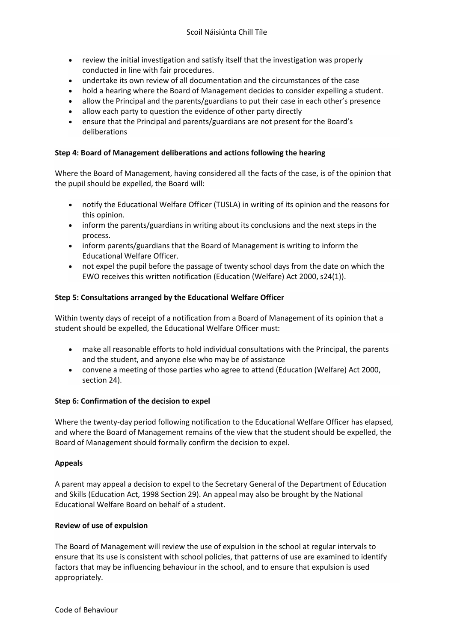- review the initial investigation and satisfy itself that the investigation was properly conducted in line with fair procedures.
- undertake its own review of all documentation and the circumstances of the case
- hold a hearing where the Board of Management decides to consider expelling a student.
- allow the Principal and the parents/guardians to put their case in each other's presence
- allow each party to question the evidence of other party directly
- ensure that the Principal and parents/guardians are not present for the Board's deliberations

#### **Step 4: Board of Management deliberations and actions following the hearing**

Where the Board of Management, having considered all the facts of the case, is of the opinion that the pupil should be expelled, the Board will:

- notify the Educational Welfare Officer (TUSLA) in writing of its opinion and the reasons for this opinion.
- inform the parents/guardians in writing about its conclusions and the next steps in the process.
- inform parents/guardians that the Board of Management is writing to inform the Educational Welfare Officer.
- not expel the pupil before the passage of twenty school days from the date on which the EWO receives this written notification (Education (Welfare) Act 2000, s24(1)).

#### **Step 5: Consultations arranged by the Educational Welfare Officer**

Within twenty days of receipt of a notification from a Board of Management of its opinion that a student should be expelled, the Educational Welfare Officer must:

- make all reasonable efforts to hold individual consultations with the Principal, the parents and the student, and anyone else who may be of assistance
- convene a meeting of those parties who agree to attend (Education (Welfare) Act 2000, section 24).

#### **Step 6: Confirmation of the decision to expel**

Where the twenty-day period following notification to the Educational Welfare Officer has elapsed, and where the Board of Management remains of the view that the student should be expelled, the Board of Management should formally confirm the decision to expel.

#### **Appeals**

A parent may appeal a decision to expel to the Secretary General of the Department of Education and Skills (Education Act, 1998 Section 29). An appeal may also be brought by the National Educational Welfare Board on behalf of a student.

#### **Review of use of expulsion**

The Board of Management will review the use of expulsion in the school at regular intervals to ensure that its use is consistent with school policies, that patterns of use are examined to identify factors that may be influencing behaviour in the school, and to ensure that expulsion is used appropriately.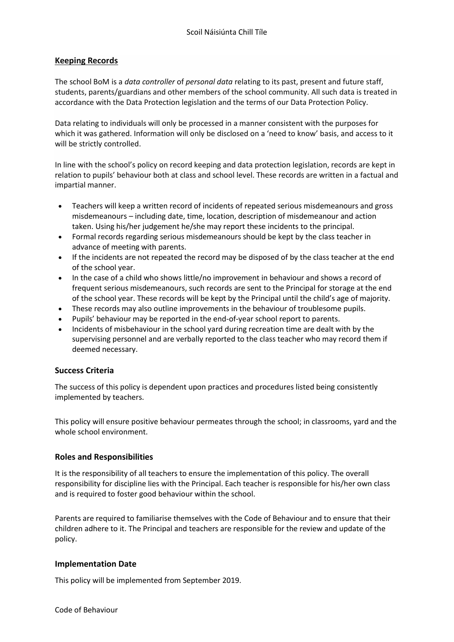## **Keeping Records**

The school BoM is a *data controller* of *personal data* relating to its past, present and future staff, students, parents/guardians and other members of the school community. All such data is treated in accordance with the Data Protection legislation and the terms of our Data Protection Policy.

Data relating to individuals will only be processed in a manner consistent with the purposes for which it was gathered. Information will only be disclosed on a 'need to know' basis, and access to it will be strictly controlled.

In line with the school's policy on record keeping and data protection legislation, records are kept in relation to pupils' behaviour both at class and school level. These records are written in a factual and impartial manner.

- Teachers will keep a written record of incidents of repeated serious misdemeanours and gross misdemeanours – including date, time, location, description of misdemeanour and action taken. Using his/her judgement he/she may report these incidents to the principal.
- Formal records regarding serious misdemeanours should be kept by the class teacher in advance of meeting with parents.
- If the incidents are not repeated the record may be disposed of by the class teacher at the end of the school year.
- In the case of a child who shows little/no improvement in behaviour and shows a record of frequent serious misdemeanours, such records are sent to the Principal for storage at the end of the school year. These records will be kept by the Principal until the child's age of majority.
- These records may also outline improvements in the behaviour of troublesome pupils.
- Pupils' behaviour may be reported in the end-of-year school report to parents.
- Incidents of misbehaviour in the school yard during recreation time are dealt with by the supervising personnel and are verbally reported to the class teacher who may record them if deemed necessary.

## **Success Criteria**

The success of this policy is dependent upon practices and procedures listed being consistently implemented by teachers.

This policy will ensure positive behaviour permeates through the school; in classrooms, yard and the whole school environment.

## **Roles and Responsibilities**

It is the responsibility of all teachers to ensure the implementation of this policy. The overall responsibility for discipline lies with the Principal. Each teacher is responsible for his/her own class and is required to foster good behaviour within the school.

Parents are required to familiarise themselves with the Code of Behaviour and to ensure that their children adhere to it. The Principal and teachers are responsible for the review and update of the policy.

## **Implementation Date**

This policy will be implemented from September 2019.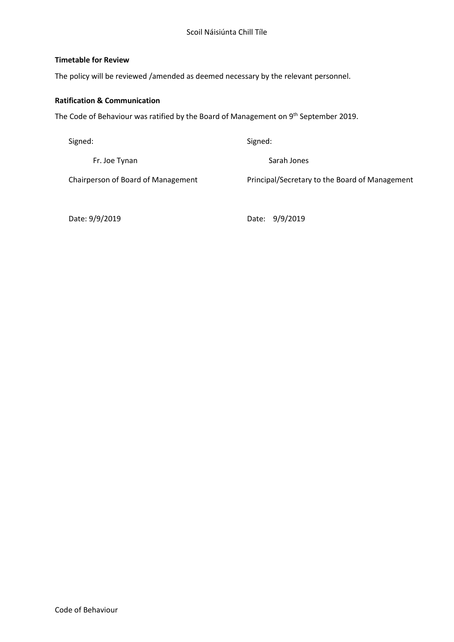#### **Timetable for Review**

The policy will be reviewed /amended as deemed necessary by the relevant personnel.

## **Ratification & Communication**

The Code of Behaviour was ratified by the Board of Management on 9<sup>th</sup> September 2019.

| Signed:                            | Signed:                                        |
|------------------------------------|------------------------------------------------|
| Fr. Joe Tynan                      | Sarah Jones                                    |
| Chairperson of Board of Management | Principal/Secretary to the Board of Management |

Date: 9/9/2019 Date: 9/9/2019